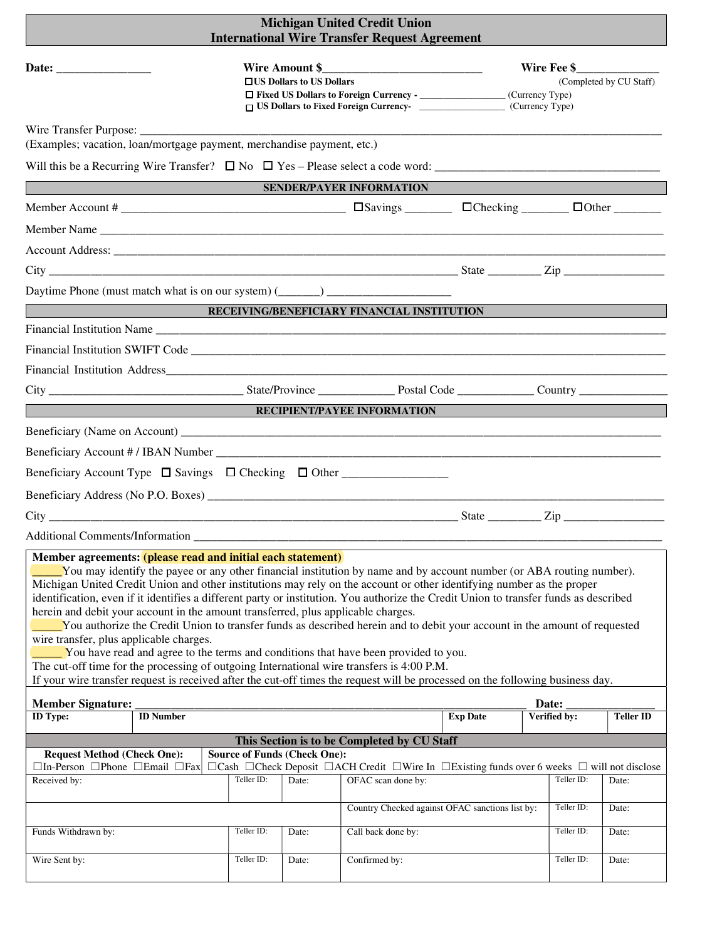| <b>Michigan United Credit Union</b><br><b>International Wire Transfer Request Agreement</b>                                                                                                                                                                                                                                                                                                                                                                                                                                                                                                                                                                                                                                                                                                                                                                                                                                                                                                                                              |            |                                                   |                                                         |                 |                                                                                                                                                                                             |                  |
|------------------------------------------------------------------------------------------------------------------------------------------------------------------------------------------------------------------------------------------------------------------------------------------------------------------------------------------------------------------------------------------------------------------------------------------------------------------------------------------------------------------------------------------------------------------------------------------------------------------------------------------------------------------------------------------------------------------------------------------------------------------------------------------------------------------------------------------------------------------------------------------------------------------------------------------------------------------------------------------------------------------------------------------|------------|---------------------------------------------------|---------------------------------------------------------|-----------------|---------------------------------------------------------------------------------------------------------------------------------------------------------------------------------------------|------------------|
|                                                                                                                                                                                                                                                                                                                                                                                                                                                                                                                                                                                                                                                                                                                                                                                                                                                                                                                                                                                                                                          |            | Wire Amount \$<br>$\Box$ US Dollars to US Dollars | <u> 1980 - Jan Barbara, martxa al II-lea (h. 1980).</u> |                 | Wire Fee \$<br>(Completed by CU Staff)<br>□ Fixed US Dollars to Foreign Currency - __________________(Currency Type)<br>□ US Dollars to Fixed Foreign Currency-<br><u> </u> (Currency Type) |                  |
| (Examples; vacation, loan/mortgage payment, merchandise payment, etc.)                                                                                                                                                                                                                                                                                                                                                                                                                                                                                                                                                                                                                                                                                                                                                                                                                                                                                                                                                                   |            |                                                   |                                                         |                 |                                                                                                                                                                                             |                  |
|                                                                                                                                                                                                                                                                                                                                                                                                                                                                                                                                                                                                                                                                                                                                                                                                                                                                                                                                                                                                                                          |            |                                                   |                                                         |                 |                                                                                                                                                                                             |                  |
| <u> 1989 - Johann Barnett, mars et al. 1989 - Anna ann an t-Amhair ann an t-Amhair ann an t-Amhair ann an t-Amhair </u>                                                                                                                                                                                                                                                                                                                                                                                                                                                                                                                                                                                                                                                                                                                                                                                                                                                                                                                  |            |                                                   | SENDER/PAYER INFORMATION                                |                 |                                                                                                                                                                                             |                  |
| Member Account #                                                                                                                                                                                                                                                                                                                                                                                                                                                                                                                                                                                                                                                                                                                                                                                                                                                                                                                                                                                                                         |            |                                                   |                                                         |                 |                                                                                                                                                                                             |                  |
|                                                                                                                                                                                                                                                                                                                                                                                                                                                                                                                                                                                                                                                                                                                                                                                                                                                                                                                                                                                                                                          |            |                                                   |                                                         |                 |                                                                                                                                                                                             |                  |
|                                                                                                                                                                                                                                                                                                                                                                                                                                                                                                                                                                                                                                                                                                                                                                                                                                                                                                                                                                                                                                          |            |                                                   |                                                         |                 |                                                                                                                                                                                             |                  |
| $\text{City}$ $\_\_\_\_\_\_\_\_\_\_\_\_\_\_\_\_\_$                                                                                                                                                                                                                                                                                                                                                                                                                                                                                                                                                                                                                                                                                                                                                                                                                                                                                                                                                                                       |            |                                                   |                                                         |                 |                                                                                                                                                                                             |                  |
| Daytime Phone (must match what is on our system) (______) ______________________<br>RECEIVING/BENEFICIARY FINANCIAL INSTITUTION                                                                                                                                                                                                                                                                                                                                                                                                                                                                                                                                                                                                                                                                                                                                                                                                                                                                                                          |            |                                                   |                                                         |                 |                                                                                                                                                                                             |                  |
|                                                                                                                                                                                                                                                                                                                                                                                                                                                                                                                                                                                                                                                                                                                                                                                                                                                                                                                                                                                                                                          |            |                                                   |                                                         |                 |                                                                                                                                                                                             |                  |
|                                                                                                                                                                                                                                                                                                                                                                                                                                                                                                                                                                                                                                                                                                                                                                                                                                                                                                                                                                                                                                          |            |                                                   |                                                         |                 |                                                                                                                                                                                             |                  |
|                                                                                                                                                                                                                                                                                                                                                                                                                                                                                                                                                                                                                                                                                                                                                                                                                                                                                                                                                                                                                                          |            |                                                   |                                                         |                 |                                                                                                                                                                                             |                  |
|                                                                                                                                                                                                                                                                                                                                                                                                                                                                                                                                                                                                                                                                                                                                                                                                                                                                                                                                                                                                                                          |            |                                                   |                                                         |                 |                                                                                                                                                                                             |                  |
| <u> 1989 - Johann Barn, mars eta bainar eta hiri erroman erroman erroman erroman erroman erroman erroman erroman</u>                                                                                                                                                                                                                                                                                                                                                                                                                                                                                                                                                                                                                                                                                                                                                                                                                                                                                                                     |            |                                                   | <b>RECIPIENT/PAYEE INFORMATION</b>                      |                 |                                                                                                                                                                                             |                  |
|                                                                                                                                                                                                                                                                                                                                                                                                                                                                                                                                                                                                                                                                                                                                                                                                                                                                                                                                                                                                                                          |            |                                                   |                                                         |                 |                                                                                                                                                                                             |                  |
|                                                                                                                                                                                                                                                                                                                                                                                                                                                                                                                                                                                                                                                                                                                                                                                                                                                                                                                                                                                                                                          |            |                                                   |                                                         |                 |                                                                                                                                                                                             |                  |
|                                                                                                                                                                                                                                                                                                                                                                                                                                                                                                                                                                                                                                                                                                                                                                                                                                                                                                                                                                                                                                          |            |                                                   |                                                         |                 |                                                                                                                                                                                             |                  |
|                                                                                                                                                                                                                                                                                                                                                                                                                                                                                                                                                                                                                                                                                                                                                                                                                                                                                                                                                                                                                                          |            |                                                   |                                                         |                 |                                                                                                                                                                                             |                  |
|                                                                                                                                                                                                                                                                                                                                                                                                                                                                                                                                                                                                                                                                                                                                                                                                                                                                                                                                                                                                                                          |            |                                                   |                                                         |                 |                                                                                                                                                                                             |                  |
| <b>Additional Comments/Information</b>                                                                                                                                                                                                                                                                                                                                                                                                                                                                                                                                                                                                                                                                                                                                                                                                                                                                                                                                                                                                   |            |                                                   |                                                         |                 |                                                                                                                                                                                             |                  |
| Member agreements: (please read and initial each statement)<br>You may identify the payee or any other financial institution by name and by account number (or ABA routing number).<br>Michigan United Credit Union and other institutions may rely on the account or other identifying number as the proper<br>identification, even if it identifies a different party or institution. You authorize the Credit Union to transfer funds as described<br>herein and debit your account in the amount transferred, plus applicable charges.<br>You authorize the Credit Union to transfer funds as described herein and to debit your account in the amount of requested<br>wire transfer, plus applicable charges.<br>You have read and agree to the terms and conditions that have been provided to you.<br>The cut-off time for the processing of outgoing International wire transfers is 4:00 P.M.<br>If your wire transfer request is received after the cut-off times the request will be processed on the following business day. |            |                                                   |                                                         |                 |                                                                                                                                                                                             |                  |
| <b>Member Signature:</b><br>Date:                                                                                                                                                                                                                                                                                                                                                                                                                                                                                                                                                                                                                                                                                                                                                                                                                                                                                                                                                                                                        |            |                                                   |                                                         |                 |                                                                                                                                                                                             |                  |
| <b>ID</b> Type:<br><b>ID</b> Number                                                                                                                                                                                                                                                                                                                                                                                                                                                                                                                                                                                                                                                                                                                                                                                                                                                                                                                                                                                                      |            |                                                   |                                                         | <b>Exp Date</b> | Verified by:                                                                                                                                                                                | <b>Teller ID</b> |
| This Section is to be Completed by CU Staff<br><b>Source of Funds (Check One):</b><br><b>Request Method (Check One):</b><br>$\Box$ In-Person $\Box$ Phone $\Box$ Email $\Box$ Fax<br>□Cash □Check Deposit □ACH Credit □Wire In □Existing funds over 6 weeks □ will not disclose<br>Teller ID:<br>Received by:<br>Teller ID:<br>OFAC scan done by:<br>Date:<br>Date:                                                                                                                                                                                                                                                                                                                                                                                                                                                                                                                                                                                                                                                                      |            |                                                   |                                                         |                 |                                                                                                                                                                                             |                  |
|                                                                                                                                                                                                                                                                                                                                                                                                                                                                                                                                                                                                                                                                                                                                                                                                                                                                                                                                                                                                                                          |            |                                                   | Country Checked against OFAC sanctions list by:         |                 | Teller ID:                                                                                                                                                                                  | Date:            |
| Funds Withdrawn by:                                                                                                                                                                                                                                                                                                                                                                                                                                                                                                                                                                                                                                                                                                                                                                                                                                                                                                                                                                                                                      | Teller ID: | Date:                                             | Call back done by:                                      |                 | Teller ID:                                                                                                                                                                                  | Date:            |
| Wire Sent by:                                                                                                                                                                                                                                                                                                                                                                                                                                                                                                                                                                                                                                                                                                                                                                                                                                                                                                                                                                                                                            | Teller ID: | Date:                                             | Confirmed by:                                           |                 | Teller ID:                                                                                                                                                                                  | Date:            |